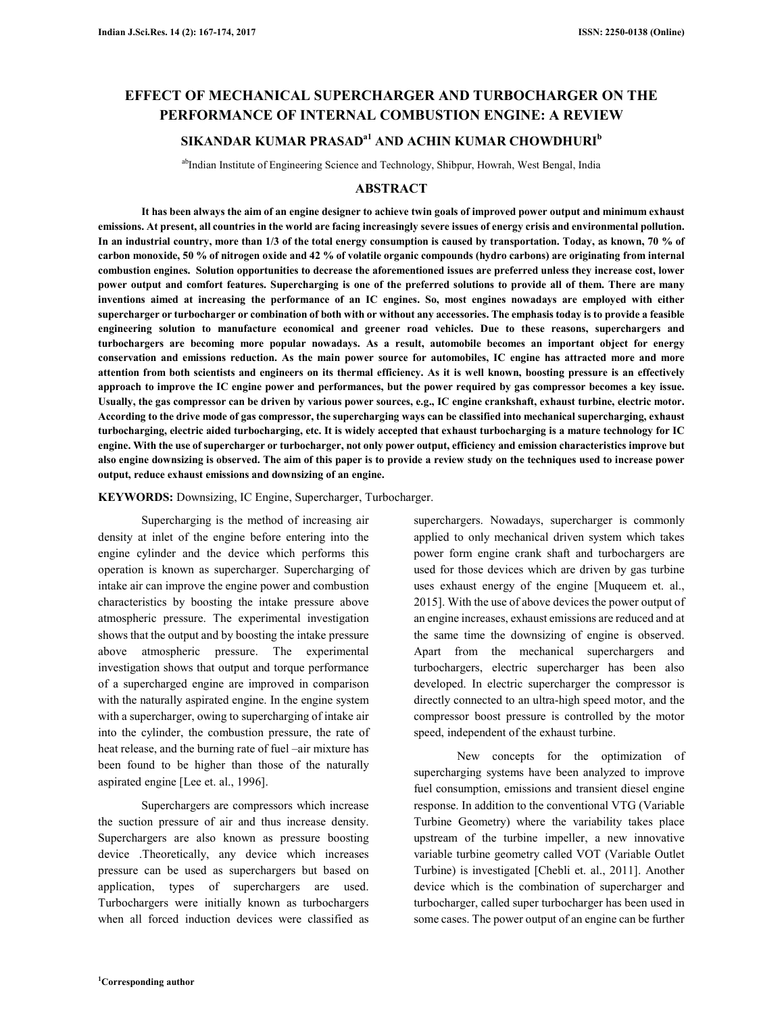# **EFFECT OF MECHANICAL SUPERCHARGER AND TURBOCHARGER ON THE PERFORMANCE OF INTERNAL COMBUSTION ENGINE: A REVIEW**

# **SIKANDAR KUMAR PRASADa1 AND ACHIN KUMAR CHOWDHURI<sup>b</sup>**

abIndian Institute of Engineering Science and Technology, Shibpur, Howrah, West Bengal, India

## **ABSTRACT**

**It has been always the aim of an engine designer to achieve twin goals of improved power output and minimum exhaust emissions. At present, all countries in the world are facing increasingly severe issues of energy crisis and environmental pollution. In an industrial country, more than 1/3 of the total energy consumption is caused by transportation. Today, as known, 70 % of carbon monoxide, 50 % of nitrogen oxide and 42 % of volatile organic compounds (hydro carbons) are originating from internal combustion engines. Solution opportunities to decrease the aforementioned issues are preferred unless they increase cost, lower power output and comfort features. Supercharging is one of the preferred solutions to provide all of them. There are many inventions aimed at increasing the performance of an IC engines. So, most engines nowadays are employed with either supercharger or turbocharger or combination of both with or without any accessories. The emphasis today is to provide a feasible engineering solution to manufacture economical and greener road vehicles. Due to these reasons, superchargers and turbochargers are becoming more popular nowadays. As a result, automobile becomes an important object for energy conservation and emissions reduction. As the main power source for automobiles, IC engine has attracted more and more attention from both scientists and engineers on its thermal efficiency. As it is well known, boosting pressure is an effectively approach to improve the IC engine power and performances, but the power required by gas compressor becomes a key issue. Usually, the gas compressor can be driven by various power sources, e.g., IC engine crankshaft, exhaust turbine, electric motor. According to the drive mode of gas compressor, the supercharging ways can be classified into mechanical supercharging, exhaust turbocharging, electric aided turbocharging, etc. It is widely accepted that exhaust turbocharging is a mature technology for IC engine. With the use of supercharger or turbocharger, not only power output, efficiency and emission characteristics improve but also engine downsizing is observed. The aim of this paper is to provide a review study on the techniques used to increase power output, reduce exhaust emissions and downsizing of an engine.** 

#### **KEYWORDS:** Downsizing, IC Engine, Supercharger, Turbocharger.

Supercharging is the method of increasing air density at inlet of the engine before entering into the engine cylinder and the device which performs this operation is known as supercharger. Supercharging of intake air can improve the engine power and combustion characteristics by boosting the intake pressure above atmospheric pressure. The experimental investigation shows that the output and by boosting the intake pressure above atmospheric pressure. The experimental investigation shows that output and torque performance of a supercharged engine are improved in comparison with the naturally aspirated engine. In the engine system with a supercharger, owing to supercharging of intake air into the cylinder, the combustion pressure, the rate of heat release, and the burning rate of fuel –air mixture has been found to be higher than those of the naturally aspirated engine [Lee et. al., 1996].

Superchargers are compressors which increase the suction pressure of air and thus increase density. Superchargers are also known as pressure boosting device .Theoretically, any device which increases pressure can be used as superchargers but based on application, types of superchargers are used. Turbochargers were initially known as turbochargers when all forced induction devices were classified as superchargers. Nowadays, supercharger is commonly applied to only mechanical driven system which takes power form engine crank shaft and turbochargers are used for those devices which are driven by gas turbine uses exhaust energy of the engine [Muqueem et. al., 2015]. With the use of above devices the power output of an engine increases, exhaust emissions are reduced and at the same time the downsizing of engine is observed. Apart from the mechanical superchargers and turbochargers, electric supercharger has been also developed. In electric supercharger the compressor is directly connected to an ultra-high speed motor, and the compressor boost pressure is controlled by the motor speed, independent of the exhaust turbine.

New concepts for the optimization of supercharging systems have been analyzed to improve fuel consumption, emissions and transient diesel engine response. In addition to the conventional VTG (Variable Turbine Geometry) where the variability takes place upstream of the turbine impeller, a new innovative variable turbine geometry called VOT (Variable Outlet Turbine) is investigated [Chebli et. al., 2011]. Another device which is the combination of supercharger and turbocharger, called super turbocharger has been used in some cases. The power output of an engine can be further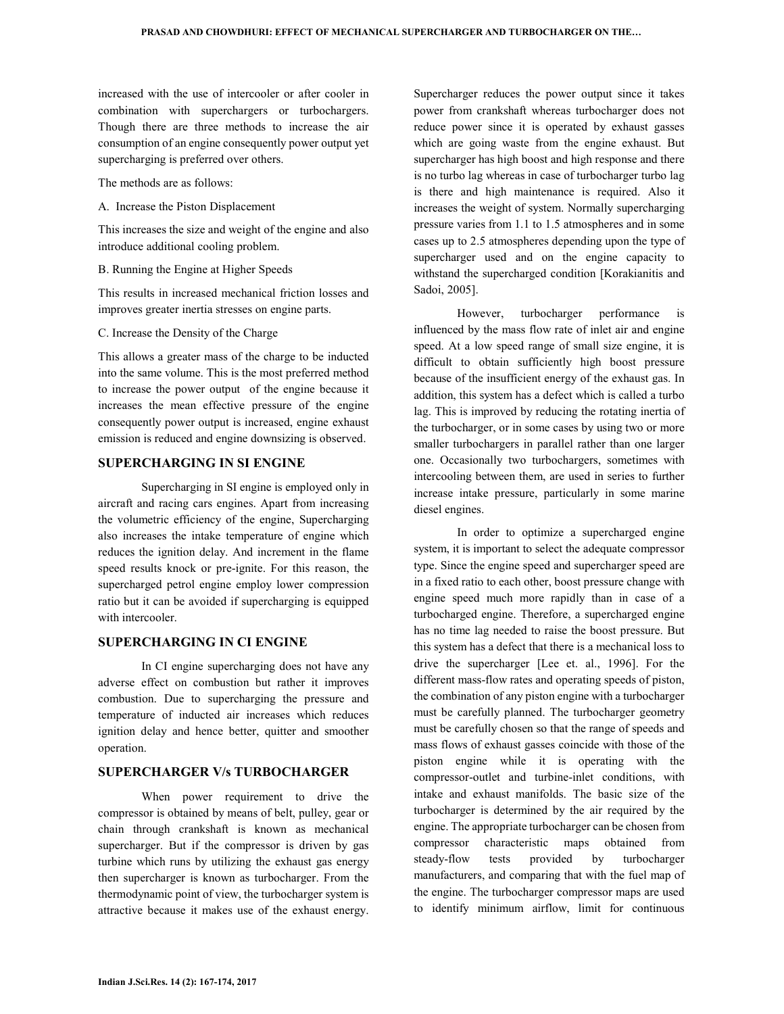increased with the use of intercooler or after cooler in combination with superchargers or turbochargers. Though there are three methods to increase the air consumption of an engine consequently power output yet supercharging is preferred over others.

The methods are as follows:

A. Increase the Piston Displacement

This increases the size and weight of the engine and also introduce additional cooling problem.

B. Running the Engine at Higher Speeds

This results in increased mechanical friction losses and improves greater inertia stresses on engine parts.

#### C. Increase the Density of the Charge

This allows a greater mass of the charge to be inducted into the same volume. This is the most preferred method to increase the power output of the engine because it increases the mean effective pressure of the engine consequently power output is increased, engine exhaust emission is reduced and engine downsizing is observed.

## **SUPERCHARGING IN SI ENGINE**

Supercharging in SI engine is employed only in aircraft and racing cars engines. Apart from increasing the volumetric efficiency of the engine, Supercharging also increases the intake temperature of engine which reduces the ignition delay. And increment in the flame speed results knock or pre-ignite. For this reason, the supercharged petrol engine employ lower compression ratio but it can be avoided if supercharging is equipped with intercooler.

## **SUPERCHARGING IN CI ENGINE**

In CI engine supercharging does not have any adverse effect on combustion but rather it improves combustion. Due to supercharging the pressure and temperature of inducted air increases which reduces ignition delay and hence better, quitter and smoother operation.

## **SUPERCHARGER V/s TURBOCHARGER**

When power requirement to drive the compressor is obtained by means of belt, pulley, gear or chain through crankshaft is known as mechanical supercharger. But if the compressor is driven by gas turbine which runs by utilizing the exhaust gas energy then supercharger is known as turbocharger. From the thermodynamic point of view, the turbocharger system is attractive because it makes use of the exhaust energy.

Supercharger reduces the power output since it takes power from crankshaft whereas turbocharger does not reduce power since it is operated by exhaust gasses which are going waste from the engine exhaust. But supercharger has high boost and high response and there is no turbo lag whereas in case of turbocharger turbo lag is there and high maintenance is required. Also it increases the weight of system. Normally supercharging pressure varies from 1.1 to 1.5 atmospheres and in some cases up to 2.5 atmospheres depending upon the type of supercharger used and on the engine capacity to withstand the supercharged condition [Korakianitis and Sadoi, 2005].

However, turbocharger performance is influenced by the mass flow rate of inlet air and engine speed. At a low speed range of small size engine, it is difficult to obtain sufficiently high boost pressure because of the insufficient energy of the exhaust gas. In addition, this system has a defect which is called a turbo lag. This is improved by reducing the rotating inertia of the turbocharger, or in some cases by using two or more smaller turbochargers in parallel rather than one larger one. Occasionally two turbochargers, sometimes with intercooling between them, are used in series to further increase intake pressure, particularly in some marine diesel engines.

In order to optimize a supercharged engine system, it is important to select the adequate compressor type. Since the engine speed and supercharger speed are in a fixed ratio to each other, boost pressure change with engine speed much more rapidly than in case of a turbocharged engine. Therefore, a supercharged engine has no time lag needed to raise the boost pressure. But this system has a defect that there is a mechanical loss to drive the supercharger [Lee et. al., 1996]. For the different mass-flow rates and operating speeds of piston, the combination of any piston engine with a turbocharger must be carefully planned. The turbocharger geometry must be carefully chosen so that the range of speeds and mass flows of exhaust gasses coincide with those of the piston engine while it is operating with the compressor-outlet and turbine-inlet conditions, with intake and exhaust manifolds. The basic size of the turbocharger is determined by the air required by the engine. The appropriate turbocharger can be chosen from compressor characteristic maps obtained from steady-flow tests provided by turbocharger manufacturers, and comparing that with the fuel map of the engine. The turbocharger compressor maps are used to identify minimum airflow, limit for continuous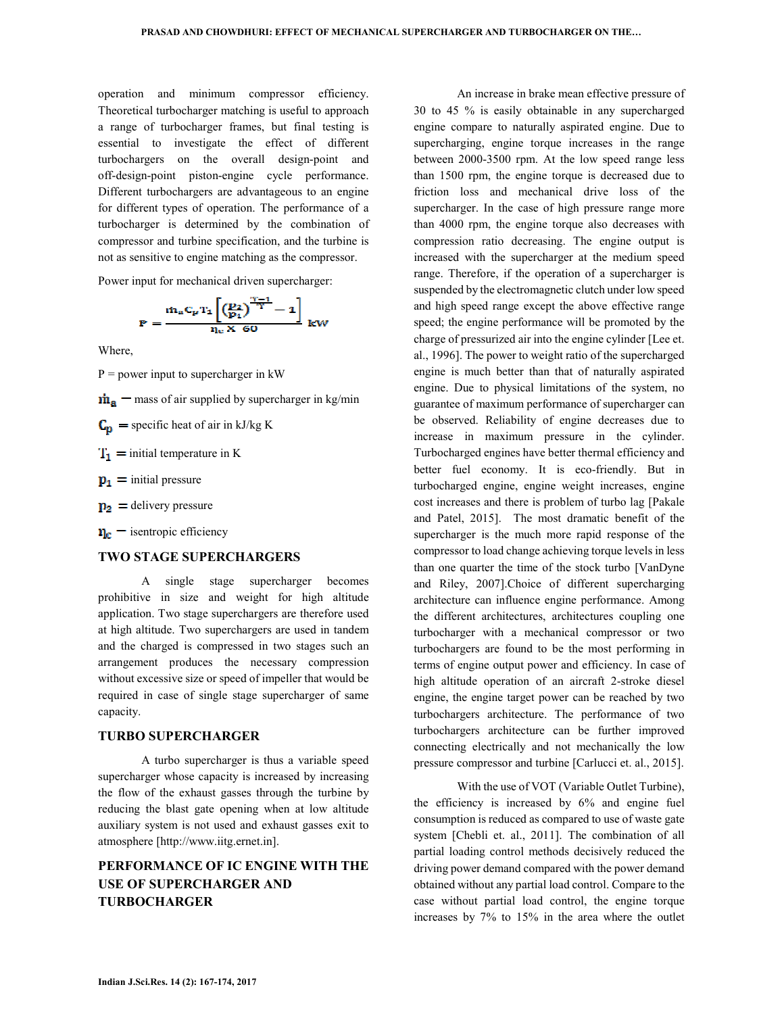operation and minimum compressor efficiency. Theoretical turbocharger matching is useful to approach a range of turbocharger frames, but final testing is essential to investigate the effect of different turbochargers on the overall design-point and off-design-point piston-engine cycle performance. Different turbochargers are advantageous to an engine for different types of operation. The performance of a turbocharger is determined by the combination of compressor and turbine specification, and the turbine is not as sensitive to engine matching as the compressor.

Power input for mechanical driven supercharger:

$$
P = \frac{\dot{m}_a C_p T_1 \left[ \left( \frac{p_2}{p_1} \right)^{\frac{\gamma - 1}{\gamma}} - 1 \right]}{r_{lc} X 60} kW
$$

Where,

 $P = power input to supercharge in kW$ 

 $\dot{m}_a$  – mass of air supplied by supercharger in kg/min

 $C_p$  = specific heat of air in kJ/kg K

- $T_1$  = initial temperature in K
- $\mathbf{p}_1$  = initial pressure
- $p_2$  = delivery pressure

 $n_e$  = isentropic efficiency

## **TWO STAGE SUPERCHARGERS**

A single stage supercharger becomes prohibitive in size and weight for high altitude application. Two stage superchargers are therefore used at high altitude. Two superchargers are used in tandem and the charged is compressed in two stages such an arrangement produces the necessary compression without excessive size or speed of impeller that would be required in case of single stage supercharger of same capacity.

### **TURBO SUPERCHARGER**

A turbo supercharger is thus a variable speed supercharger whose capacity is increased by increasing the flow of the exhaust gasses through the turbine by reducing the blast gate opening when at low altitude auxiliary system is not used and exhaust gasses exit to atmosphere [http://www.iitg.ernet.in].

# **PERFORMANCE OF IC ENGINE WITH THE USE OF SUPERCHARGER AND TURBOCHARGER**

An increase in brake mean effective pressure of 30 to 45 % is easily obtainable in any supercharged engine compare to naturally aspirated engine. Due to supercharging, engine torque increases in the range between 2000-3500 rpm. At the low speed range less than 1500 rpm, the engine torque is decreased due to friction loss and mechanical drive loss of the supercharger. In the case of high pressure range more than 4000 rpm, the engine torque also decreases with compression ratio decreasing. The engine output is increased with the supercharger at the medium speed range. Therefore, if the operation of a supercharger is suspended by the electromagnetic clutch under low speed and high speed range except the above effective range speed; the engine performance will be promoted by the charge of pressurized air into the engine cylinder [Lee et. al., 1996]. The power to weight ratio of the supercharged engine is much better than that of naturally aspirated engine. Due to physical limitations of the system, no guarantee of maximum performance of supercharger can be observed. Reliability of engine decreases due to increase in maximum pressure in the cylinder. Turbocharged engines have better thermal efficiency and better fuel economy. It is eco-friendly. But in turbocharged engine, engine weight increases, engine cost increases and there is problem of turbo lag [Pakale and Patel, 2015]. The most dramatic benefit of the supercharger is the much more rapid response of the compressor to load change achieving torque levels in less than one quarter the time of the stock turbo [VanDyne and Riley, 2007].Choice of different supercharging architecture can influence engine performance. Among the different architectures, architectures coupling one turbocharger with a mechanical compressor or two turbochargers are found to be the most performing in terms of engine output power and efficiency. In case of high altitude operation of an aircraft 2-stroke diesel engine, the engine target power can be reached by two turbochargers architecture. The performance of two turbochargers architecture can be further improved connecting electrically and not mechanically the low pressure compressor and turbine [Carlucci et. al., 2015].

With the use of VOT (Variable Outlet Turbine), the efficiency is increased by 6% and engine fuel consumption is reduced as compared to use of waste gate system [Chebli et. al., 2011]. The combination of all partial loading control methods decisively reduced the driving power demand compared with the power demand obtained without any partial load control. Compare to the case without partial load control, the engine torque increases by 7% to 15% in the area where the outlet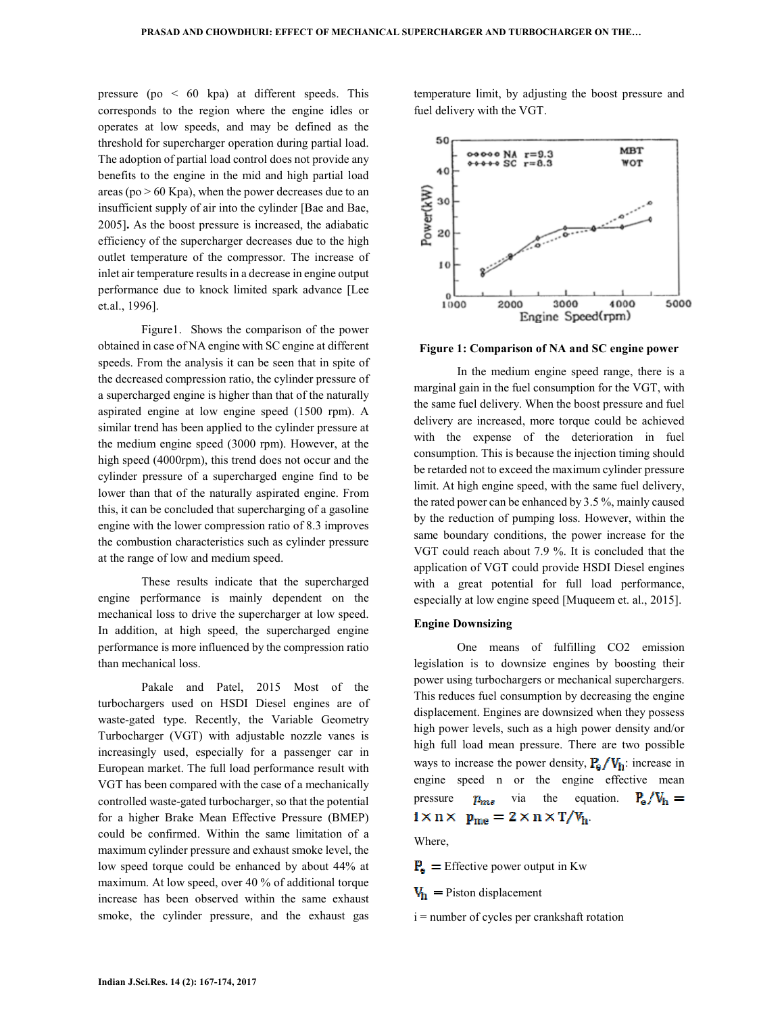pressure (po  $\leq 60$  kpa) at different speeds. This corresponds to the region where the engine idles or operates at low speeds, and may be defined as the threshold for supercharger operation during partial load. The adoption of partial load control does not provide any benefits to the engine in the mid and high partial load areas ( $po > 60$  Kpa), when the power decreases due to an insufficient supply of air into the cylinder [Bae and Bae, 2005]**.** As the boost pressure is increased, the adiabatic efficiency of the supercharger decreases due to the high outlet temperature of the compressor. The increase of inlet air temperature results in a decrease in engine output performance due to knock limited spark advance [Lee et.al., 1996].

Figure1.Shows the comparison of the power obtained in case of NA engine with SC engine at different speeds. From the analysis it can be seen that in spite of the decreased compression ratio, the cylinder pressure of a supercharged engine is higher than that of the naturally aspirated engine at low engine speed (1500 rpm). A similar trend has been applied to the cylinder pressure at the medium engine speed (3000 rpm). However, at the high speed (4000rpm), this trend does not occur and the cylinder pressure of a supercharged engine find to be lower than that of the naturally aspirated engine. From this, it can be concluded that supercharging of a gasoline engine with the lower compression ratio of 8.3 improves the combustion characteristics such as cylinder pressure at the range of low and medium speed.

These results indicate that the supercharged engine performance is mainly dependent on the mechanical loss to drive the supercharger at low speed. In addition, at high speed, the supercharged engine performance is more influenced by the compression ratio than mechanical loss.

Pakale and Patel, 2015 Most of the turbochargers used on HSDI Diesel engines are of waste-gated type. Recently, the Variable Geometry Turbocharger (VGT) with adjustable nozzle vanes is increasingly used, especially for a passenger car in European market. The full load performance result with VGT has been compared with the case of a mechanically controlled waste-gated turbocharger, so that the potential for a higher Brake Mean Effective Pressure (BMEP) could be confirmed. Within the same limitation of a maximum cylinder pressure and exhaust smoke level, the low speed torque could be enhanced by about 44% at maximum. At low speed, over 40 % of additional torque increase has been observed within the same exhaust smoke, the cylinder pressure, and the exhaust gas temperature limit, by adjusting the boost pressure and fuel delivery with the VGT.



**Figure 1: Comparison of NA and SC engine power** 

In the medium engine speed range, there is a marginal gain in the fuel consumption for the VGT, with the same fuel delivery. When the boost pressure and fuel delivery are increased, more torque could be achieved with the expense of the deterioration in fuel consumption. This is because the injection timing should be retarded not to exceed the maximum cylinder pressure limit. At high engine speed, with the same fuel delivery, the rated power can be enhanced by 3.5 %, mainly caused by the reduction of pumping loss. However, within the same boundary conditions, the power increase for the VGT could reach about 7.9 %. It is concluded that the application of VGT could provide HSDI Diesel engines with a great potential for full load performance, especially at low engine speed [Muqueem et. al., 2015].

#### **Engine Downsizing**

One means of fulfilling CO2 emission legislation is to downsize engines by boosting their power using turbochargers or mechanical superchargers. This reduces fuel consumption by decreasing the engine displacement. Engines are downsized when they possess high power levels, such as a high power density and/or high full load mean pressure. There are two possible ways to increase the power density,  $P_e / V_h$ : increase in engine speed n or the engine effective mean pressure  $p_{me}$  via the equation.  $P_e/V_h =$  $i \times n \times p_{me} = 2 \times n \times T/V_{h}$ .

Where,

 $P_e$  = Effective power output in Kw

 $V_{h}$  = Piston displacement

i = number of cycles per crankshaft rotation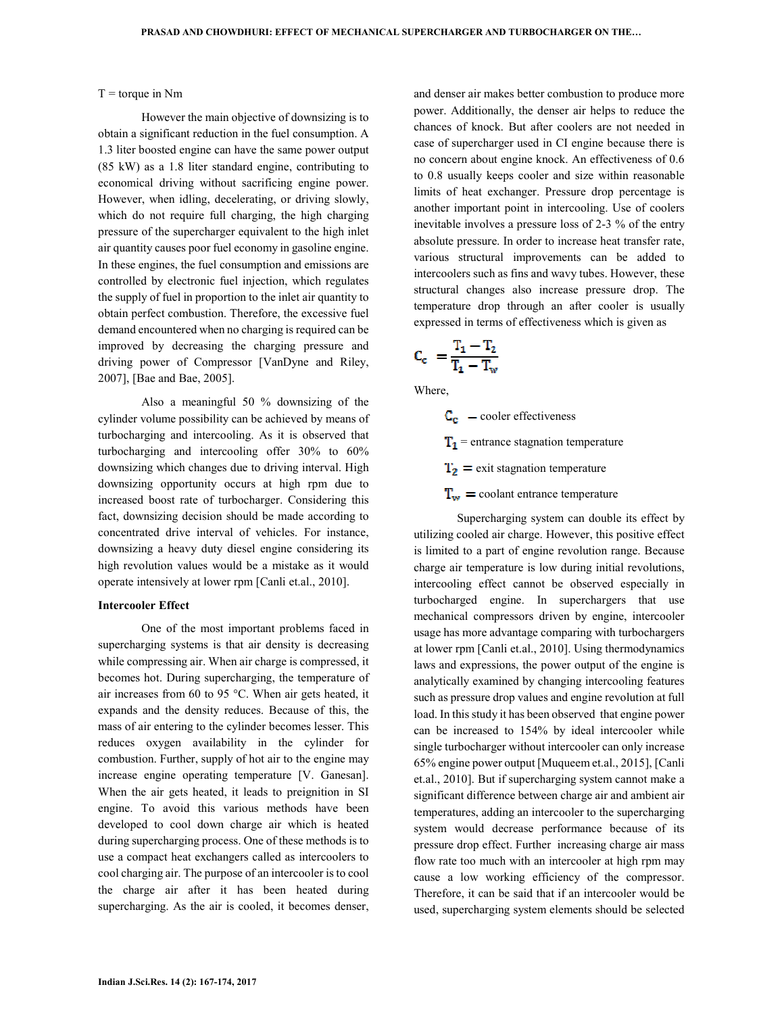$T =$  torque in Nm

However the main objective of downsizing is to obtain a significant reduction in the fuel consumption. A 1.3 liter boosted engine can have the same power output (85 kW) as a 1.8 liter standard engine, contributing to economical driving without sacrificing engine power. However, when idling, decelerating, or driving slowly, which do not require full charging, the high charging pressure of the supercharger equivalent to the high inlet air quantity causes poor fuel economy in gasoline engine. In these engines, the fuel consumption and emissions are controlled by electronic fuel injection, which regulates the supply of fuel in proportion to the inlet air quantity to obtain perfect combustion. Therefore, the excessive fuel demand encountered when no charging is required can be improved by decreasing the charging pressure and driving power of Compressor [VanDyne and Riley, 2007], [Bae and Bae, 2005].

Also a meaningful 50 % downsizing of the cylinder volume possibility can be achieved by means of turbocharging and intercooling. As it is observed that turbocharging and intercooling offer 30% to 60% downsizing which changes due to driving interval. High downsizing opportunity occurs at high rpm due to increased boost rate of turbocharger. Considering this fact, downsizing decision should be made according to concentrated drive interval of vehicles. For instance, downsizing a heavy duty diesel engine considering its high revolution values would be a mistake as it would operate intensively at lower rpm [Canli et.al., 2010].

#### **Intercooler Effect**

One of the most important problems faced in supercharging systems is that air density is decreasing while compressing air. When air charge is compressed, it becomes hot. During supercharging, the temperature of air increases from 60 to 95 °C. When air gets heated, it expands and the density reduces. Because of this, the mass of air entering to the cylinder becomes lesser. This reduces oxygen availability in the cylinder for combustion. Further, supply of hot air to the engine may increase engine operating temperature [V. Ganesan]. When the air gets heated, it leads to preignition in SI engine. To avoid this various methods have been developed to cool down charge air which is heated during supercharging process. One of these methods is to use a compact heat exchangers called as intercoolers to cool charging air. The purpose of an intercooler is to cool the charge air after it has been heated during supercharging. As the air is cooled, it becomes denser, and denser air makes better combustion to produce more power. Additionally, the denser air helps to reduce the chances of knock. But after coolers are not needed in case of supercharger used in CI engine because there is no concern about engine knock. An effectiveness of 0.6 to 0.8 usually keeps cooler and size within reasonable limits of heat exchanger. Pressure drop percentage is another important point in intercooling. Use of coolers inevitable involves a pressure loss of 2-3 % of the entry absolute pressure. In order to increase heat transfer rate, various structural improvements can be added to intercoolers such as fins and wavy tubes. However, these structural changes also increase pressure drop. The temperature drop through an after cooler is usually expressed in terms of effectiveness which is given as

$$
C_c\ =\frac{T_1-T_2}{T_1-T_w}
$$

Where,

 $C_c$  – cooler effectiveness  $T_1$  = entrance stagnation temperature  $T_2$  = exit stagnation temperature  $T_w =$  coolant entrance temperature

Supercharging system can double its effect by utilizing cooled air charge. However, this positive effect is limited to a part of engine revolution range. Because charge air temperature is low during initial revolutions, intercooling effect cannot be observed especially in turbocharged engine. In superchargers that use mechanical compressors driven by engine, intercooler usage has more advantage comparing with turbochargers at lower rpm [Canli et.al., 2010]. Using thermodynamics laws and expressions, the power output of the engine is analytically examined by changing intercooling features such as pressure drop values and engine revolution at full load. In this study it has been observed that engine power can be increased to 154% by ideal intercooler while single turbocharger without intercooler can only increase 65% engine power output [Muqueem et.al., 2015], [Canli et.al., 2010]. But if supercharging system cannot make a significant difference between charge air and ambient air temperatures, adding an intercooler to the supercharging system would decrease performance because of its pressure drop effect. Further increasing charge air mass flow rate too much with an intercooler at high rpm may cause a low working efficiency of the compressor. Therefore, it can be said that if an intercooler would be used, supercharging system elements should be selected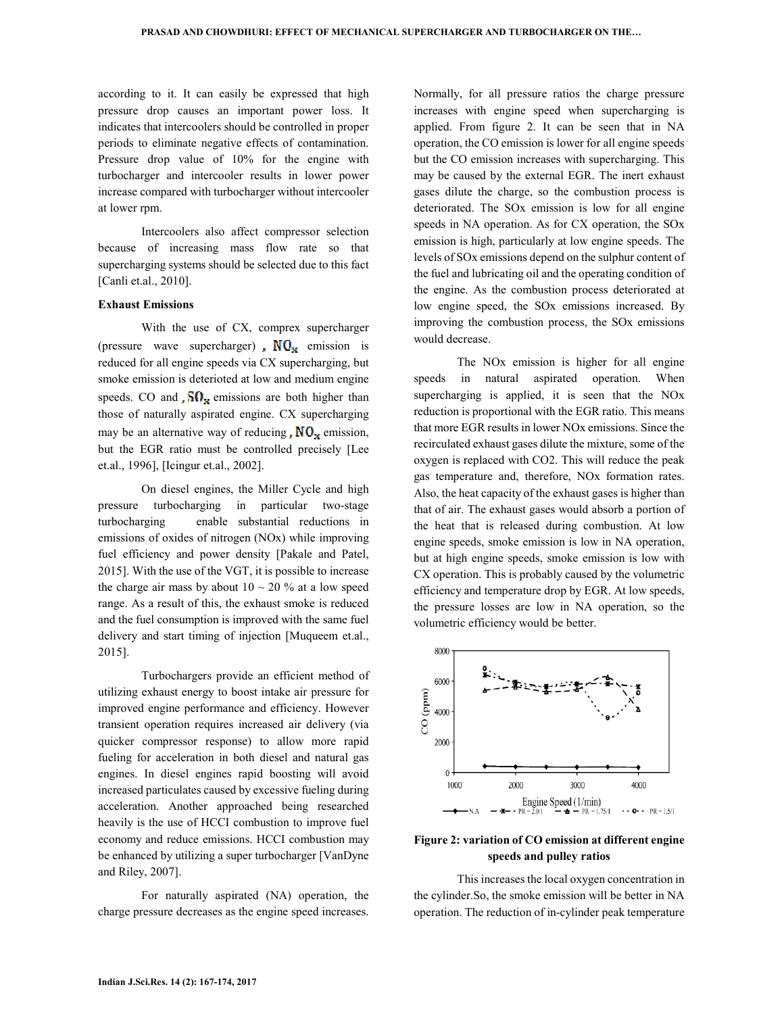according to it. It can easily be expressed that high pressure drop causes an important power loss. It indicates that intercoolers should be controlled in proper periods to eliminate negative effects of contamination. Pressure drop value of 10% for the engine with turbocharger and intercooler results in lower power increase compared with turbocharger without intercooler at lower rpm.

Intercoolers also affect compressor selection because of increasing mass flow rate so that supercharging systems should be selected due to this fact [Canli et.al., 2010].

### **Exhaust Emissions**

With the use of CX, comprex supercharger (pressure wave supercharger)  $\mathbf{N} \mathbf{O}_{\mathbf{x}}$  emission is reduced for all engine speeds via CX supercharging, but smoke emission is deterioted at low and medium engine speeds. CO and  $\overline{SO}_{\mathbf{x}}$  emissions are both higher than those of naturally aspirated engine. CX supercharging may be an alternative way of reducing  $\sqrt{N}O_{\mathbf{x}}$  emission, but the EGR ratio must be controlled precisely [Lee et.al., 1996], [Icingur et.al., 2002].

On diesel engines, the Miller Cycle and high pressure turbocharging in particular two-stage turbocharging enable substantial reductions in emissions of oxides of nitrogen (NOx) while improving fuel efficiency and power density [Pakale and Patel, 2015]. With the use of the VGT, it is possible to increase the charge air mass by about  $10 \sim 20$  % at a low speed range. As a result of this, the exhaust smoke is reduced and the fuel consumption is improved with the same fuel delivery and start timing of injection [Muqueem et.al., 2015].

Turbochargers provide an efficient method of utilizing exhaust energy to boost intake air pressure for improved engine performance and efficiency. However transient operation requires increased air delivery (via quicker compressor response) to allow more rapid fueling for acceleration in both diesel and natural gas engines. In diesel engines rapid boosting will avoid increased particulates caused by excessive fueling during acceleration. Another approached being researched heavily is the use of HCCI combustion to improve fuel economy and reduce emissions. HCCI combustion may be enhanced by utilizing a super turbocharger [VanDyne and Riley, 2007].

For naturally aspirated (NA) operation, the charge pressure decreases as the engine speed increases.

Normally, for all pressure ratios the charge pressure increases with engine speed when supercharging is applied. From figure 2. It can be seen that in NA operation, the CO emission is lower for all engine speeds but the CO emission increases with supercharging. This may be caused by the external EGR. The inert exhaust gases dilute the charge, so the combustion process is deteriorated. The SOx emission is low for all engine speeds in NA operation. As for CX operation, the SOx emission is high, particularly at low engine speeds. The levels of SOx emissions depend on the sulphur content of the fuel and lubricating oil and the operating condition of the engine. As the combustion process deteriorated at low engine speed, the SOx emissions increased. By improving the combustion process, the SOx emissions would decrease.

The NOx emission is higher for all engine speeds in natural aspirated operation. When supercharging is applied, it is seen that the NOx reduction is proportional with the EGR ratio. This means that more EGR results in lower NOx emissions. Since the recirculated exhaust gases dilute the mixture, some of the oxygen is replaced with CO2. This will reduce the peak gas temperature and, therefore, NOx formation rates. Also, the heat capacity of the exhaust gases is higher than that of air. The exhaust gases would absorb a portion of the heat that is released during combustion. At low engine speeds, smoke emission is low in NA operation, but at high engine speeds, smoke emission is low with CX operation. This is probably caused by the volumetric efficiency and temperature drop by EGR. At low speeds, the pressure losses are low in NA operation, so the volumetric efficiency would be better.



**Figure 2: variation of CO emission at different engine speeds and pulley ratios** 

This increases the local oxygen concentration in the cylinder.So, the smoke emission will be better in NA operation. The reduction of in-cylinder peak temperature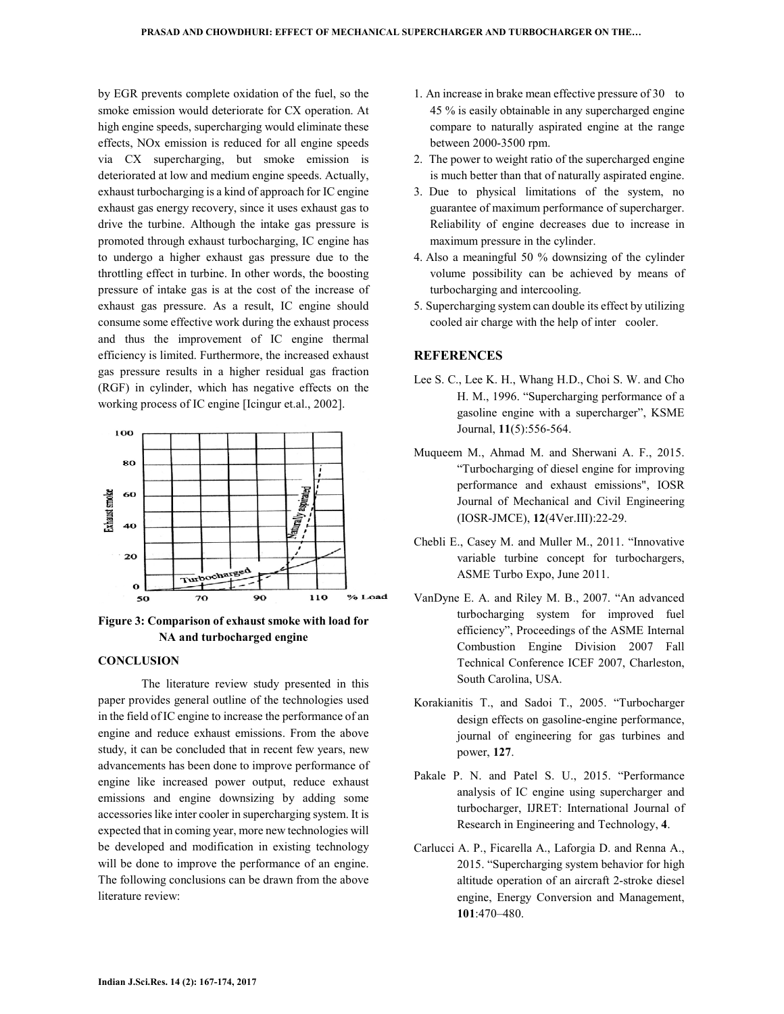by EGR prevents complete oxidation of the fuel, so the smoke emission would deteriorate for CX operation. At high engine speeds, supercharging would eliminate these effects, NOx emission is reduced for all engine speeds via CX supercharging, but smoke emission is deteriorated at low and medium engine speeds. Actually, exhaust turbocharging is a kind of approach for IC engine exhaust gas energy recovery, since it uses exhaust gas to drive the turbine. Although the intake gas pressure is promoted through exhaust turbocharging, IC engine has to undergo a higher exhaust gas pressure due to the throttling effect in turbine. In other words, the boosting pressure of intake gas is at the cost of the increase of exhaust gas pressure. As a result, IC engine should consume some effective work during the exhaust process and thus the improvement of IC engine thermal efficiency is limited. Furthermore, the increased exhaust gas pressure results in a higher residual gas fraction (RGF) in cylinder, which has negative effects on the working process of IC engine [Icingur et.al., 2002].



**Figure 3: Comparison of exhaust smoke with load for NA and turbocharged engine** 

#### **CONCLUSION**

The literature review study presented in this paper provides general outline of the technologies used in the field of IC engine to increase the performance of an engine and reduce exhaust emissions. From the above study, it can be concluded that in recent few years, new advancements has been done to improve performance of engine like increased power output, reduce exhaust emissions and engine downsizing by adding some accessories like inter cooler in supercharging system. It is expected that in coming year, more new technologies will be developed and modification in existing technology will be done to improve the performance of an engine. The following conclusions can be drawn from the above literature review:

- 1. An increase in brake mean effective pressure of 30 to 45 % is easily obtainable in any supercharged engine compare to naturally aspirated engine at the range between 2000-3500 rpm.
- 2. The power to weight ratio of the supercharged engine is much better than that of naturally aspirated engine.
- 3. Due to physical limitations of the system, no guarantee of maximum performance of supercharger. Reliability of engine decreases due to increase in maximum pressure in the cylinder.
- 4. Also a meaningful 50 % downsizing of the cylinder volume possibility can be achieved by means of turbocharging and intercooling.
- 5. Supercharging system can double its effect by utilizing cooled air charge with the help of inter cooler.

### **REFERENCES**

- Lee S. C., Lee K. H., Whang H.D., Choi S. W. and Cho H. M., 1996. "Supercharging performance of a gasoline engine with a supercharger", KSME Journal, **11**(5):556-564.
- Muqueem M., Ahmad M. and Sherwani A. F., 2015. "Turbocharging of diesel engine for improving performance and exhaust emissions", IOSR Journal of Mechanical and Civil Engineering (IOSR-JMCE), **12**(4Ver.III):22-29.
- Chebli E., Casey M. and Muller M., 2011. "Innovative variable turbine concept for turbochargers, ASME Turbo Expo, June 2011.
- VanDyne E. A. and Riley M. B., 2007. "An advanced turbocharging system for improved fuel efficiency", Proceedings of the ASME Internal Combustion Engine Division 2007 Fall Technical Conference ICEF 2007, Charleston, South Carolina, USA.
- Korakianitis T., and Sadoi T., 2005. "Turbocharger design effects on gasoline-engine performance, journal of engineering for gas turbines and power, **127**.
- Pakale P. N. and Patel S. U., 2015. "Performance analysis of IC engine using supercharger and turbocharger, IJRET: International Journal of Research in Engineering and Technology, **4**.
- Carlucci A. P., Ficarella A., Laforgia D. and Renna A., 2015. "Supercharging system behavior for high altitude operation of an aircraft 2-stroke diesel engine, Energy Conversion and Management, **101**:470–480.